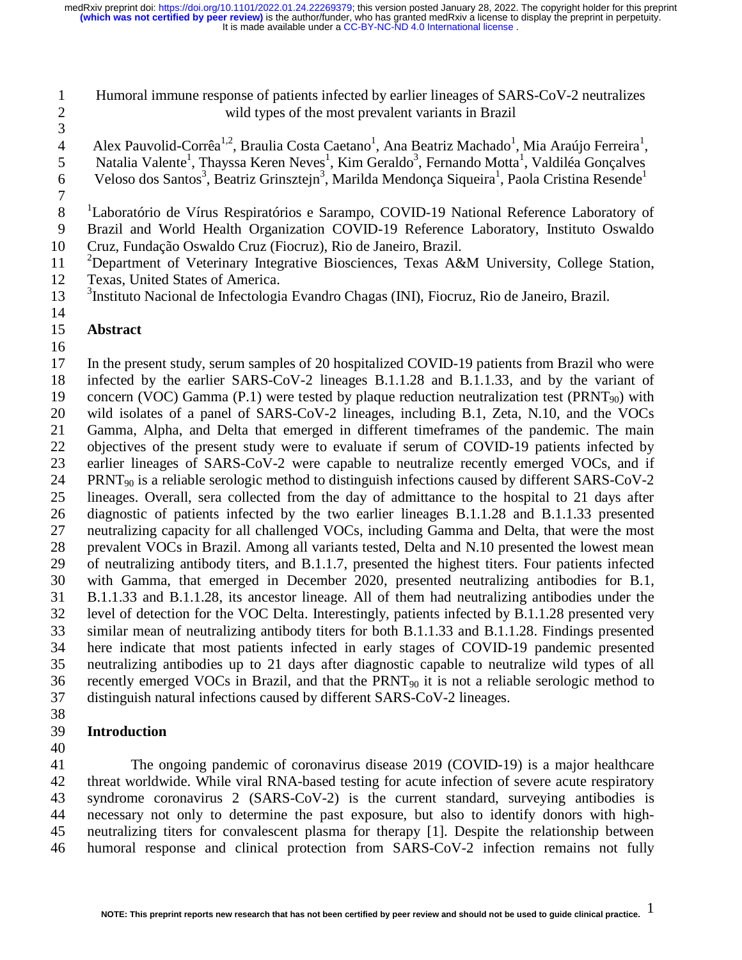## 1 Humoral immune response of patients infected by earlier lineages of SARS-CoV-2 neutralizes 2 wild types of the most prevalent variants in Brazil

3

4 Mex Pauvolid-Corrêa<sup>1,2</sup>, Braulia Costa Caetano<sup>1</sup>, Ana Beatriz Machado<sup>1</sup>, Mia Araújo Ferreira<sup>1</sup>, 5 Natalia Valente<sup>1</sup>, Thayssa Keren Neves<sup>1</sup>, Kim Geraldo<sup>3</sup>, Fernando Motta<sup>1</sup>, Valdiléa Gonçalves 6 Veloso dos Santos<sup>3</sup>, Beatriz Grinsztejn<sup>3</sup>, Marilda Mendonça Siqueira<sup>1</sup>, Paola Cristina Resende<sup>1</sup>

7

8 <sup>1</sup> Laboratório de Vírus Respiratórios e Sarampo, COVID-19 National Reference Laboratory of

9 Brazil and World Health Organization COVID-19 Reference Laboratory, Instituto Oswaldo

10 Cruz, Fundação Oswaldo Cruz (Fiocruz), Rio de Janeiro, Brazil.

<sup>2</sup> Department of Veterinary Integrative Biosciences, Texas A&M University, College Station, 12 Texas, United States of America.

<sup>3</sup> 13 Instituto Nacional de Infectologia Evandro Chagas (INI), Fiocruz, Rio de Janeiro, Brazil.

14

### 15 **Abstract**

16

17 In the present study, serum samples of 20 hospitalized COVID-19 patients from Brazil who were 18 infected by the earlier SARS-CoV-2 lineages B.1.1.28 and B.1.1.33, and by the variant of 19 concern (VOC) Gamma (P.1) were tested by plaque reduction neutralization test (PRNT<sub>90</sub>) with<br>20 wild isolates of a panel of SARS-CoV-2 lineages, including B.1, Zeta, N.10, and the VOCs wild isolates of a panel of SARS-CoV-2 lineages, including B.1, Zeta, N.10, and the VOCs 21 Gamma, Alpha, and Delta that emerged in different timeframes of the pandemic. The main 22 objectives of the present study were to evaluate if serum of COVID-19 patients infected by 23 earlier lineages of SARS-CoV-2 were capable to neutralize recently emerged VOCs, and if 24 PRNT<sub>90</sub> is a reliable serologic method to distinguish infections caused by different SARS-CoV-2 25 lineages. Overall, sera collected from the day of admittance to the hospital to 21 days after 26 diagnostic of patients infected by the two earlier lineages B.1.1.28 and B.1.1.33 presented 27 neutralizing capacity for all challenged VOCs, including Gamma and Delta, that were the most 28 prevalent VOCs in Brazil. Among all variants tested, Delta and N.10 presented the lowest mean 29 of neutralizing antibody titers, and B.1.1.7, presented the highest titers. Four patients infected 30 with Gamma, that emerged in December 2020, presented neutralizing antibodies for B.1, 31 B.1.1.33 and B.1.1.28, its ancestor lineage. All of them had neutralizing antibodies under the 32 level of detection for the VOC Delta. Interestingly, patients infected by B.1.1.28 presented very 33 similar mean of neutralizing antibody titers for both B.1.1.33 and B.1.1.28. Findings presented 34 here indicate that most patients infected in early stages of COVID-19 pandemic presented 35 neutralizing antibodies up to 21 days after diagnostic capable to neutralize wild types of all 36 recently emerged VOCs in Brazil, and that the PRNT90 it is not a reliable serologic method to 37 distinguish natural infections caused by different SARS-CoV-2 lineages.

38

# 39 **Introduction**

40

41 The ongoing pandemic of coronavirus disease 2019 (COVID-19) is a major healthcare 42 threat worldwide. While viral RNA-based testing for acute infection of severe acute respiratory 43 syndrome coronavirus 2 (SARS-CoV-2) is the current standard, surveying antibodies is 44 necessary not only to determine the past exposure, but also to identify donors with high-45 neutralizing titers for convalescent plasma for therapy [1]. Despite the relationship between 46 humoral response and clinical protection from SARS-CoV-2 infection remains not fully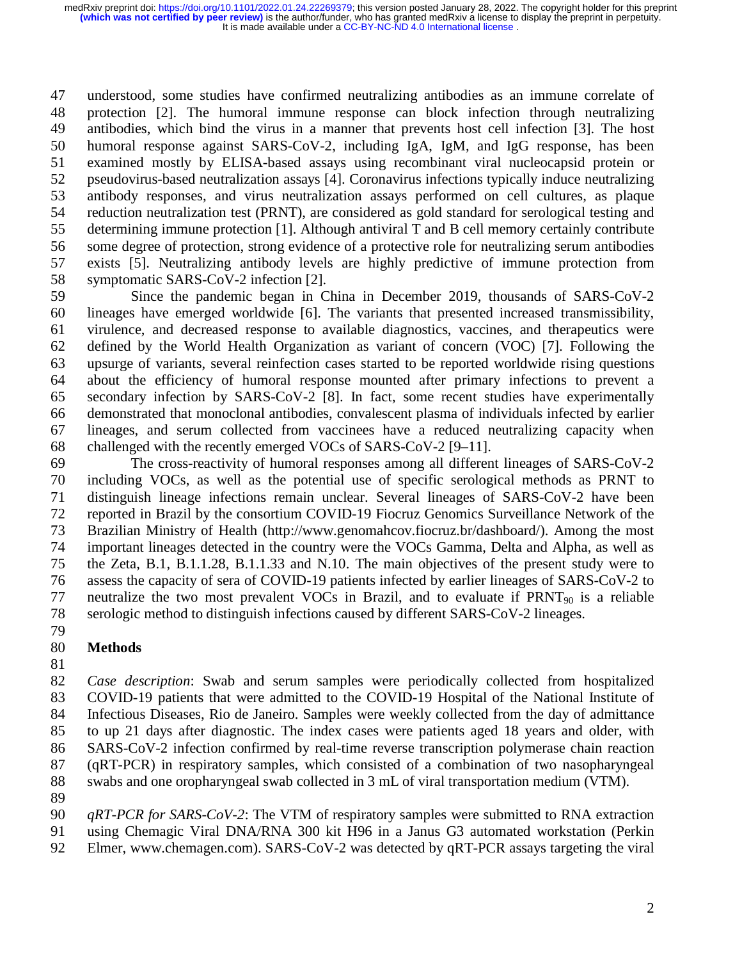47 understood, some studies have confirmed neutralizing antibodies as an immune correlate of 48 protection [2]. The humoral immune response can block infection through neutralizing 49 antibodies, which bind the virus in a manner that prevents host cell infection [3]. The host 50 humoral response against SARS-CoV-2, including IgA, IgM, and IgG response, has been 51 examined mostly by ELISA-based assays using recombinant viral nucleocapsid protein or 52 pseudovirus-based neutralization assays [4]. Coronavirus infections typically induce neutralizing 53 antibody responses, and virus neutralization assays performed on cell cultures, as plaque 54 reduction neutralization test (PRNT), are considered as gold standard for serological testing and 55 determining immune protection [1]. Although antiviral T and B cell memory certainly contribute 56 some degree of protection, strong evidence of a protective role for neutralizing serum antibodies 57 exists [5]. Neutralizing antibody levels are highly predictive of immune protection from 58 symptomatic SARS-CoV-2 infection [2].

59 Since the pandemic began in China in December 2019, thousands of SARS-CoV-2 60 lineages have emerged worldwide [6]. The variants that presented increased transmissibility, 61 virulence, and decreased response to available diagnostics, vaccines, and therapeutics were 62 defined by the World Health Organization as variant of concern (VOC) [7]. Following the 63 upsurge of variants, several reinfection cases started to be reported worldwide rising questions 64 about the efficiency of humoral response mounted after primary infections to prevent a 65 secondary infection by SARS-CoV-2 [8]. In fact, some recent studies have experimentally 66 demonstrated that monoclonal antibodies, convalescent plasma of individuals infected by earlier 67 lineages, and serum collected from vaccinees have a reduced neutralizing capacity when 68 challenged with the recently emerged VOCs of SARS-CoV-2 [9–11].

69 The cross-reactivity of humoral responses among all different lineages of SARS-CoV-2 70 including VOCs, as well as the potential use of specific serological methods as PRNT to 71 distinguish lineage infections remain unclear. Several lineages of SARS-CoV-2 have been 72 reported in Brazil by the consortium COVID-19 Fiocruz Genomics Surveillance Network of the 73 Brazilian Ministry of Health (http://www.genomahcov.fiocruz.br/dashboard/). Among the most 74 important lineages detected in the country were the VOCs Gamma, Delta and Alpha, as well as 75 the Zeta, B.1, B.1.1.28, B.1.1.33 and N.10. The main objectives of the present study were to 76 assess the capacity of sera of COVID-19 patients infected by earlier lineages of SARS-CoV-2 to 77 neutralize the two most prevalent VOCs in Brazil, and to evaluate if  $PRNT_{90}$  is a reliable 78 serologic method to distinguish infections caused by different SARS-CoV-2 lineages.

79

# 80 **Methods**

81

82 *Case description*: Swab and serum samples were periodically collected from hospitalized 83 COVID-19 patients that were admitted to the COVID-19 Hospital of the National Institute of 84 Infectious Diseases, Rio de Janeiro. Samples were weekly collected from the day of admittance 85 to up 21 days after diagnostic. The index cases were patients aged 18 years and older, with 86 SARS-CoV-2 infection confirmed by real-time reverse transcription polymerase chain reaction 87 (qRT-PCR) in respiratory samples, which consisted of a combination of two nasopharyngeal 88 swabs and one oropharyngeal swab collected in 3 mL of viral transportation medium (VTM).

89 90 *qRT-PCR for SARS-CoV-2*: The VTM of respiratory samples were submitted to RNA extraction

91 using Chemagic Viral DNA/RNA 300 kit H96 in a Janus G3 automated workstation (Perkin

92 Elmer, www.chemagen.com). SARS-CoV-2 was detected by qRT-PCR assays targeting the viral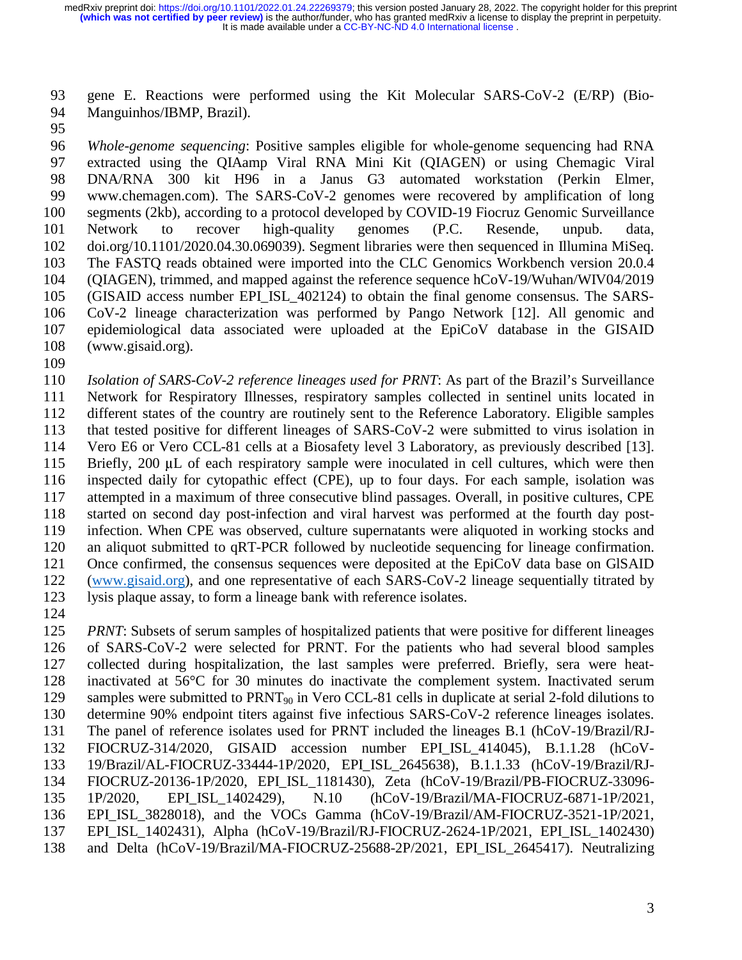93 gene E. Reactions were performed using the Kit Molecular SARS-CoV-2 (E/RP) (Bio-94 Manguinhos/IBMP, Brazil).

95

96 *Whole-genome sequencing*: Positive samples eligible for whole-genome sequencing had RNA 97 extracted using the QIAamp Viral RNA Mini Kit (QIAGEN) or using Chemagic Viral 98 DNA/RNA 300 kit H96 in a Janus G3 automated workstation (Perkin Elmer, 99 www.chemagen.com). The SARS-CoV-2 genomes were recovered by amplification of long 100 segments (2kb), according to a protocol developed by COVID-19 Fiocruz Genomic Surveillance 101 Network to recover high-quality genomes (P.C. Resende, unpub. data, 102 doi.org/10.1101/2020.04.30.069039). Segment libraries were then sequenced in Illumina MiSeq. 103 The FASTQ reads obtained were imported into the CLC Genomics Workbench version 20.0.4 104 (QIAGEN), trimmed, and mapped against the reference sequence hCoV-19/Wuhan/WIV04/2019 105 (GISAID access number EPI\_ISL\_402124) to obtain the final genome consensus. The SARS-106 CoV-2 lineage characterization was performed by Pango Network [12]. All genomic and 107 epidemiological data associated were uploaded at the EpiCoV database in the GISAID 108 (www.gisaid.org).

109

110 *Isolation of SARS-CoV-2 reference lineages used for PRNT*: As part of the Brazil's Surveillance 111 Network for Respiratory Illnesses, respiratory samples collected in sentinel units located in 112 different states of the country are routinely sent to the Reference Laboratory. Eligible samples 113 that tested positive for different lineages of SARS-CoV-2 were submitted to virus isolation in 114 Vero E6 or Vero CCL-81 cells at a Biosafety level 3 Laboratory, as previously described [13]. 115 Briefly, 200 μL of each respiratory sample were inoculated in cell cultures, which were then<br>116 inspected daily for cytopathic effect (CPE), up to four days. For each sample, isolation was inspected daily for cytopathic effect (CPE), up to four days. For each sample, isolation was 117 attempted in a maximum of three consecutive blind passages. Overall, in positive cultures, CPE 118 started on second day post-infection and viral harvest was performed at the fourth day post-119 infection. When CPE was observed, culture supernatants were aliquoted in working stocks and 120 an aliquot submitted to qRT-PCR followed by nucleotide sequencing for lineage confirmation.<br>121 Once confirmed, the consensus sequences were deposited at the EpiCoV data base on GISAID Once confirmed, the consensus sequences were deposited at the EpiCoV data base on GISAID 122 (www.gisaid.org), and one representative of each SARS-CoV-2 lineage sequentially titrated by 123 lysis plaque assay, to form a lineage bank with reference isolates.

124

125 *PRNT*: Subsets of serum samples of hospitalized patients that were positive for different lineages 126 of SARS-CoV-2 were selected for PRNT. For the patients who had several blood samples 127 collected during hospitalization, the last samples were preferred. Briefly, sera were heat-128 inactivated at 56°C for 30 minutes do inactivate the complement system. Inactivated serum 129 samples were submitted to PRNT<sub>90</sub> in Vero CCL-81 cells in duplicate at serial 2-fold dilutions to 130 determine 90% endpoint titers against five infectious SARS-CoV-2 reference lineages isolates. 131 The panel of reference isolates used for PRNT included the lineages B.1 (hCoV-19/Brazil/RJ-132 FIOCRUZ-314/2020, GISAID accession number EPI\_ISL\_414045), B.1.1.28 (hCoV-133 19/Brazil/AL-FIOCRUZ-33444-1P/2020, EPI\_ISL\_2645638), B.1.1.33 (hCoV-19/Brazil/RJ-134 FIOCRUZ-20136-1P/2020, EPI\_ISL\_1181430), Zeta (hCoV-19/Brazil/PB-FIOCRUZ-33096- 135 1P/2020, EPI\_ISL\_1402429), N.10 (hCoV-19/Brazil/MA-FIOCRUZ-6871-1P/2021, 136 EPI\_ISL\_3828018), and the VOCs Gamma (hCoV-19/Brazil/AM-FIOCRUZ-3521-1P/2021, 137 EPI\_ISL\_1402431), Alpha (hCoV-19/Brazil/RJ-FIOCRUZ-2624-1P/2021, EPI\_ISL\_1402430) 138 and Delta (hCoV-19/Brazil/MA-FIOCRUZ-25688-2P/2021, EPI\_ISL\_2645417). Neutralizing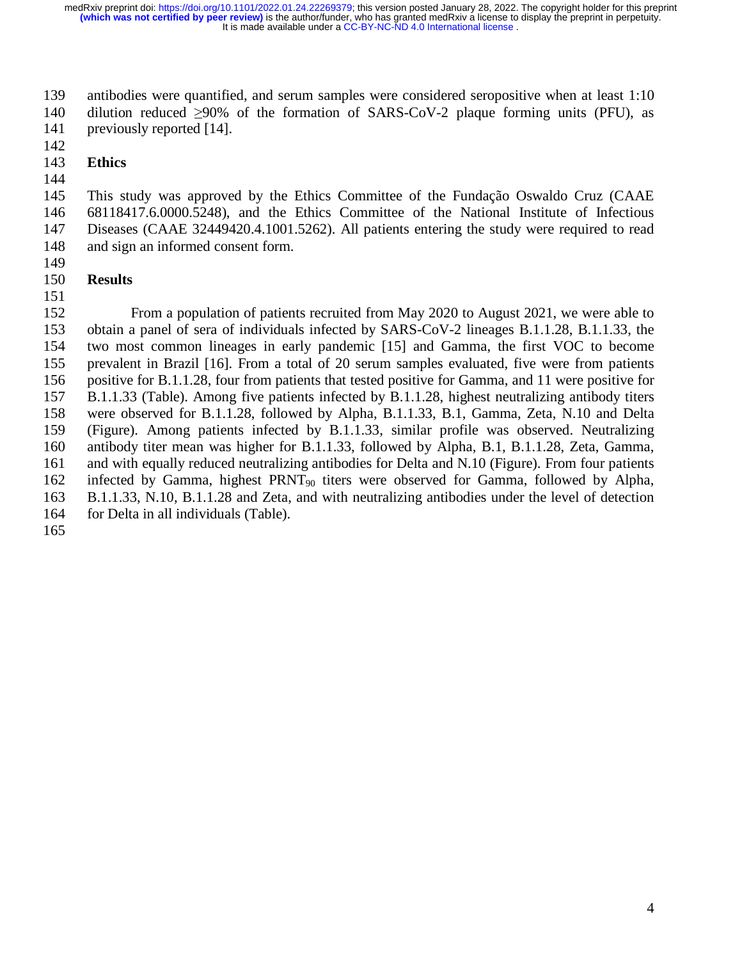139 antibodies were quantified, and serum samples were considered seropositive when at least 1:10 140 dilution reduced  $\geq 90\%$  of the formation of SARS-CoV-2 plaque forming units (PFU), as previously reported [14]. previously reported [14].

142

### 143 **Ethics**

144

145 This study was approved by the Ethics Committee of the Fundação Oswaldo Cruz (CAAE 146 68118417.6.0000.5248), and the Ethics Committee of the National Institute of Infectious 147 Diseases (CAAE 32449420.4.1001.5262). All patients entering the study were required to read 148 and sign an informed consent form.

149

151

## 150 **Results**

152 From a population of patients recruited from May 2020 to August 2021, we were able to 153 obtain a panel of sera of individuals infected by SARS-CoV-2 lineages B.1.1.28, B.1.1.33, the 154 two most common lineages in early pandemic [15] and Gamma, the first VOC to become 155 prevalent in Brazil [16]. From a total of 20 serum samples evaluated, five were from patients 156 positive for B.1.1.28, four from patients that tested positive for Gamma, and 11 were positive for 157 B.1.1.33 (Table). Among five patients infected by B.1.1.28, highest neutralizing antibody titers 158 were observed for B.1.1.28, followed by Alpha, B.1.1.33, B.1, Gamma, Zeta, N.10 and Delta 159 (Figure). Among patients infected by B.1.1.33, similar profile was observed. Neutralizing 160 antibody titer mean was higher for B.1.1.33, followed by Alpha, B.1, B.1.1.28, Zeta, Gamma, 161 and with equally reduced neutralizing antibodies for Delta and N.10 (Figure). From four patients 162 infected by Gamma, highest PRNT90 titers were observed for Gamma, followed by Alpha, 163 B.1.1.33, N.10, B.1.1.28 and Zeta, and with neutralizing antibodies under the level of detection 164 for Delta in all individuals (Table).

165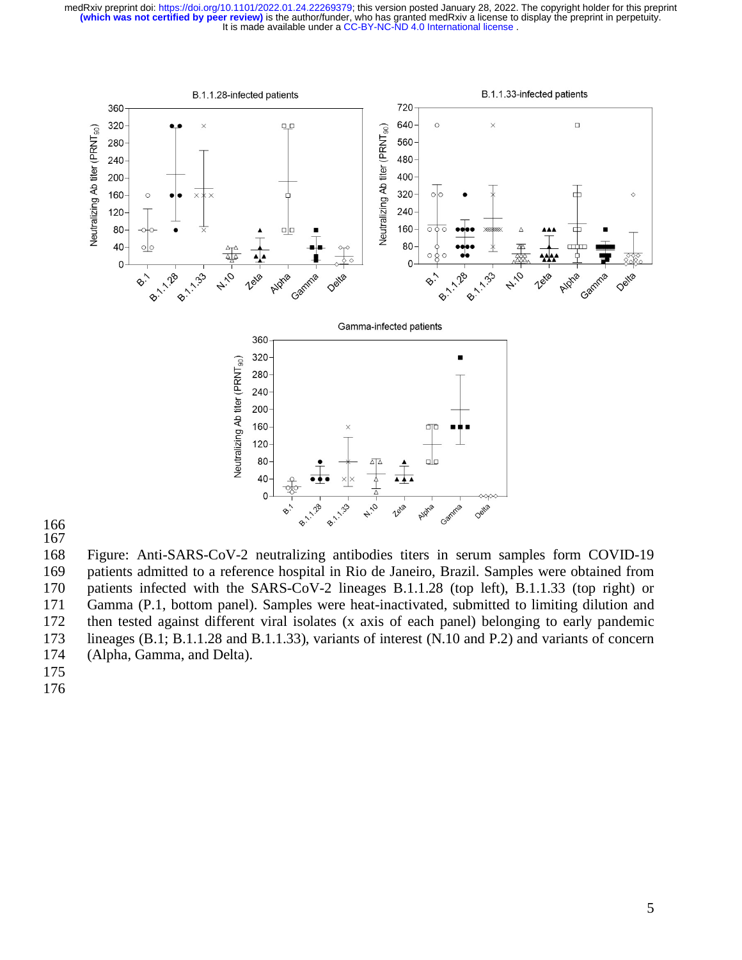

166 167

168 Figure: Anti-SARS-CoV-2 neutralizing antibodies titers in serum samples form COVID-19 169 patients admitted to a reference hospital in Rio de Janeiro, Brazil. Samples were obtained from 170 patients infected with the SARS-CoV-2 lineages B.1.1.28 (top left), B.1.1.33 (top right) or 171 Gamma (P.1, bottom panel). Samples were heat-inactivated, submitted to limiting dilution and 172 then tested against different viral isolates (x axis of each panel) belonging to early pandemic 173 lineages (B.1; B.1.1.28 and B.1.1.33), variants of interest (N.10 and P.2) and variants of concern 174 (Alpha, Gamma, and Delta).

175

176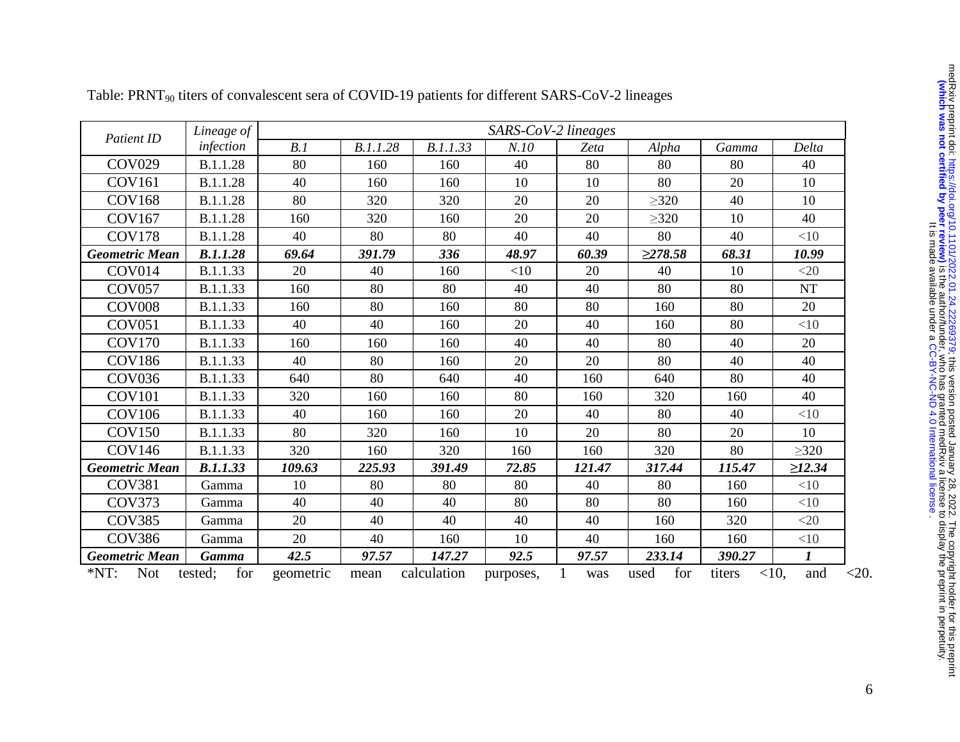| Patient ID            | Lineage of      | SARS-CoV-2 lineages |          |             |           |        |               |        |                  |
|-----------------------|-----------------|---------------------|----------|-------------|-----------|--------|---------------|--------|------------------|
|                       | infection       | B.1                 | B.1.1.28 | B.1.1.33    | N.10      | Zeta   | Alpha         | Gamma  | Delta            |
| <b>COV029</b>         | B.1.1.28        | 80                  | 160      | 160         | 40        | 80     | 80            | 80     | 40               |
| <b>COV161</b>         | B.1.1.28        | 40                  | 160      | 160         | 10        | 10     | 80            | 20     | 10               |
| <b>COV168</b>         | B.1.1.28        | 80                  | 320      | 320         | 20        | 20     | $\geq$ 320    | 40     | 10               |
| <b>COV167</b>         | B.1.1.28        | 160                 | 320      | 160         | 20        | 20     | >320          | 10     | 40               |
| <b>COV178</b>         | B.1.1.28        | 40                  | 80       | 80          | 40        | 40     | 80            | 40     | $<$ 10           |
| <b>Geometric Mean</b> | <b>B.1.1.28</b> | 69.64               | 391.79   | 336         | 48.97     | 60.39  | $\geq$ 278.58 | 68.31  | 10.99            |
| COV014                | B.1.1.33        | 20                  | 40       | 160         | <10       | 20     | 40            | 10     | <20              |
| <b>COV057</b>         | B.1.1.33        | 160                 | 80       | 80          | 40        | 40     | 80            | 80     | <b>NT</b>        |
| <b>COV008</b>         | B.1.1.33        | 160                 | 80       | 160         | 80        | 80     | 160           | 80     | 20               |
| <b>COV051</b>         | B.1.1.33        | 40                  | 40       | 160         | 20        | 40     | 160           | 80     | <10              |
| <b>COV170</b>         | B.1.1.33        | 160                 | 160      | 160         | 40        | 40     | 80            | 40     | 20               |
| <b>COV186</b>         | B.1.1.33        | 40                  | 80       | 160         | 20        | 20     | 80            | 40     | 40               |
| <b>COV036</b>         | B.1.1.33        | 640                 | 80       | 640         | 40        | 160    | 640           | 80     | 40               |
| <b>COV101</b>         | B.1.1.33        | 320                 | 160      | 160         | 80        | 160    | 320           | 160    | 40               |
| <b>COV106</b>         | B.1.1.33        | 40                  | 160      | 160         | 20        | 40     | 80            | 40     | <10              |
| <b>COV150</b>         | B.1.1.33        | 80                  | 320      | 160         | 10        | 20     | 80            | 20     | 10               |
| <b>COV146</b>         | B.1.1.33        | 320                 | 160      | 320         | 160       | 160    | 320           | 80     | $\geq 320$       |
| <b>Geometric Mean</b> | <b>B.1.1.33</b> | 109.63              | 225.93   | 391.49      | 72.85     | 121.47 | 317.44        | 115.47 | $\geq$ 12.34     |
| <b>COV381</b>         | Gamma           | 10                  | 80       | 80          | 80        | 40     | 80            | 160    | <10              |
| <b>COV373</b>         | Gamma           | 40                  | 40       | 40          | 80        | 80     | 80            | 160    | $<$ 10           |
| <b>COV385</b>         | Gamma           | 20                  | 40       | 40          | 40        | 40     | 160           | 320    | $<$ 20           |
| <b>COV386</b>         | Gamma           | 20                  | 40       | 160         | 10        | 40     | 160           | 160    | <10              |
| <b>Geometric Mean</b> | <b>Gamma</b>    | 42.5                | 97.57    | 147.27      | 92.5      | 97.57  | 233.14        | 390.27 | $\boldsymbol{l}$ |
| $*NT:$<br><b>Not</b>  | for<br>tested;  | geometric           | mean     | calculation | purposes, | was    | for<br>used   | titers | $<10$ ,<br>and   |

Table: PRNT<sub>90</sub> titers of convalescent sera of COVID-19 patients for different SARS-CoV-2 lineages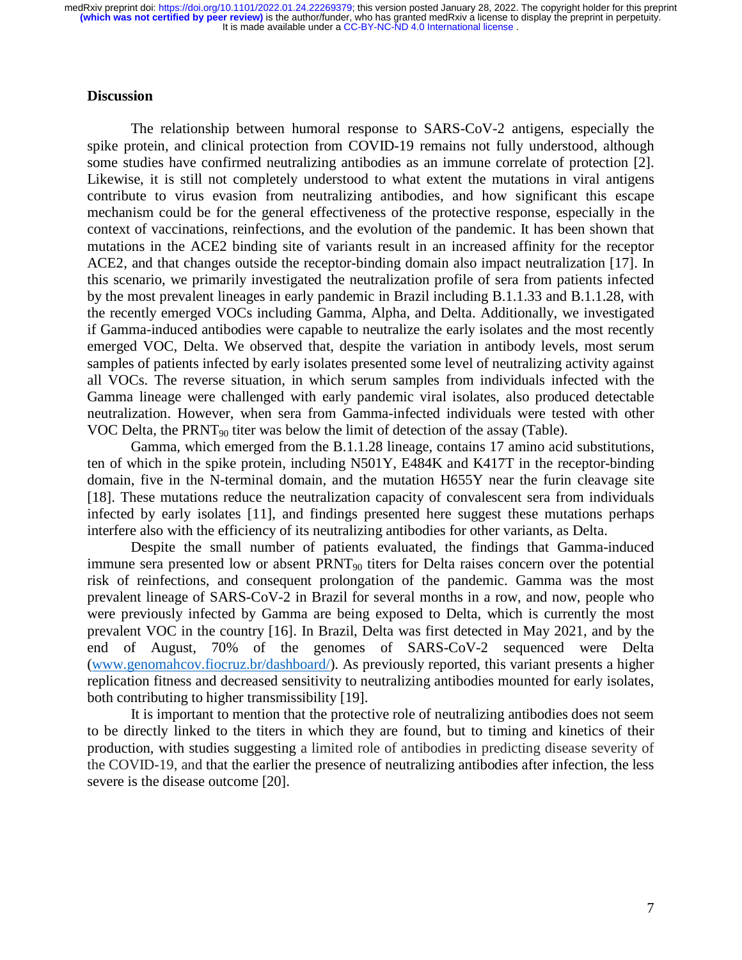#### **Discussion**

 The relationship between humoral response to SARS-CoV-2 antigens, especially the spike protein, and clinical protection from COVID-19 remains not fully understood, although some studies have confirmed neutralizing antibodies as an immune correlate of protection [2]. Likewise, it is still not completely understood to what extent the mutations in viral antigens contribute to virus evasion from neutralizing antibodies, and how significant this escape mechanism could be for the general effectiveness of the protective response, especially in the context of vaccinations, reinfections, and the evolution of the pandemic. It has been shown that mutations in the ACE2 binding site of variants result in an increased affinity for the receptor ACE2, and that changes outside the receptor-binding domain also impact neutralization [17]. In this scenario, we primarily investigated the neutralization profile of sera from patients infected by the most prevalent lineages in early pandemic in Brazil including B.1.1.33 and B.1.1.28, with the recently emerged VOCs including Gamma, Alpha, and Delta. Additionally, we investigated if Gamma-induced antibodies were capable to neutralize the early isolates and the most recently emerged VOC, Delta. We observed that, despite the variation in antibody levels, most serum samples of patients infected by early isolates presented some level of neutralizing activity against all VOCs. The reverse situation, in which serum samples from individuals infected with the Gamma lineage were challenged with early pandemic viral isolates, also produced detectable neutralization. However, when sera from Gamma-infected individuals were tested with other VOC Delta, the PRNT90 titer was below the limit of detection of the assay (Table).

 Gamma, which emerged from the B.1.1.28 lineage, contains 17 amino acid substitutions, ten of which in the spike protein, including N501Y, E484K and K417T in the receptor-binding domain, five in the N-terminal domain, and the mutation H655Y near the furin cleavage site [18]. These mutations reduce the neutralization capacity of convalescent sera from individuals infected by early isolates [11], and findings presented here suggest these mutations perhaps interfere also with the efficiency of its neutralizing antibodies for other variants, as Delta.

Despite the small number of patients evaluated, the findings that Gamma-induced immune sera presented low or absent  $PRNT_{90}$  titers for Delta raises concern over the potential risk of reinfections, and consequent prolongation of the pandemic. Gamma was the most prevalent lineage of SARS-CoV-2 in Brazil for several months in a row, and now, people who were previously infected by Gamma are being exposed to Delta, which is currently the most prevalent VOC in the country [16]. In Brazil, Delta was first detected in May 2021, and by the end of August, 70% of the genomes of SARS-CoV-2 sequenced were Delta (www.genomahcov.fiocruz.br/dashboard/). As previously reported, this variant presents a higher replication fitness and decreased sensitivity to neutralizing antibodies mounted for early isolates, both contributing to higher transmissibility [19].

It is important to mention that the protective role of neutralizing antibodies does not seem to be directly linked to the titers in which they are found, but to timing and kinetics of their production, with studies suggesting a limited role of antibodies in predicting disease severity of the COVID-19, and that the earlier the presence of neutralizing antibodies after infection, the less severe is the disease outcome [20].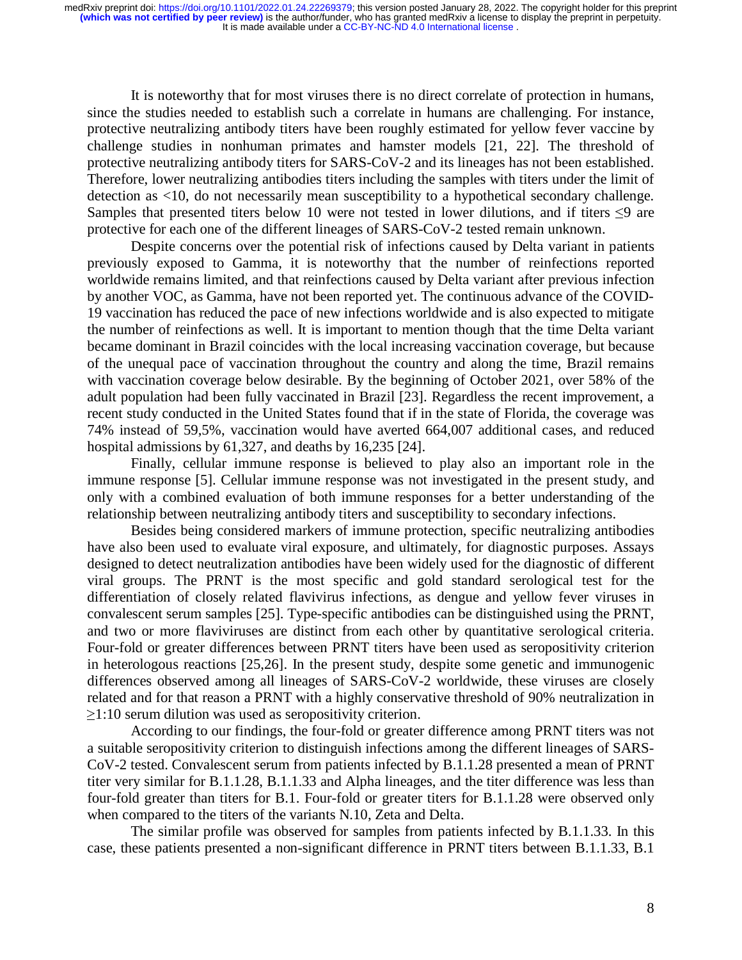It is noteworthy that for most viruses there is no direct correlate of protection in humans, since the studies needed to establish such a correlate in humans are challenging. For instance, protective neutralizing antibody titers have been roughly estimated for yellow fever vaccine by challenge studies in nonhuman primates and hamster models [21, 22]. The threshold of protective neutralizing antibody titers for SARS-CoV-2 and its lineages has not been established. Therefore, lower neutralizing antibodies titers including the samples with titers under the limit of detection as <10, do not necessarily mean susceptibility to a hypothetical secondary challenge. Samples that presented titers below 10 were not tested in lower dilutions, and if titers  $\leq 9$  are protective for each one of the different lineages of SARS-CoV-2 tested remain unknown.

Despite concerns over the potential risk of infections caused by Delta variant in patients previously exposed to Gamma, it is noteworthy that the number of reinfections reported worldwide remains limited, and that reinfections caused by Delta variant after previous infection by another VOC, as Gamma, have not been reported yet. The continuous advance of the COVID-19 vaccination has reduced the pace of new infections worldwide and is also expected to mitigate the number of reinfections as well. It is important to mention though that the time Delta variant became dominant in Brazil coincides with the local increasing vaccination coverage, but because of the unequal pace of vaccination throughout the country and along the time, Brazil remains with vaccination coverage below desirable. By the beginning of October 2021, over 58% of the adult population had been fully vaccinated in Brazil [23]. Regardless the recent improvement, a recent study conducted in the United States found that if in the state of Florida, the coverage was 74% instead of 59,5%, vaccination would have averted 664,007 additional cases, and reduced hospital admissions by 61,327, and deaths by 16,235 [24].

Finally, cellular immune response is believed to play also an important role in the immune response [5]. Cellular immune response was not investigated in the present study, and only with a combined evaluation of both immune responses for a better understanding of the relationship between neutralizing antibody titers and susceptibility to secondary infections.

Besides being considered markers of immune protection, specific neutralizing antibodies have also been used to evaluate viral exposure, and ultimately, for diagnostic purposes. Assays designed to detect neutralization antibodies have been widely used for the diagnostic of different viral groups. The PRNT is the most specific and gold standard serological test for the differentiation of closely related flavivirus infections, as dengue and yellow fever viruses in convalescent serum samples [25]. Type-specific antibodies can be distinguished using the PRNT, and two or more flaviviruses are distinct from each other by quantitative serological criteria. Four-fold or greater differences between PRNT titers have been used as seropositivity criterion in heterologous reactions [25,26]. In the present study, despite some genetic and immunogenic differences observed among all lineages of SARS-CoV-2 worldwide, these viruses are closely related and for that reason a PRNT with a highly conservative threshold of 90% neutralization in  $\geq$ 1:10 serum dilution was used as seropositivity criterion.

According to our findings, the four-fold or greater difference among PRNT titers was not a suitable seropositivity criterion to distinguish infections among the different lineages of SARS-CoV-2 tested. Convalescent serum from patients infected by B.1.1.28 presented a mean of PRNT titer very similar for B.1.1.28, B.1.1.33 and Alpha lineages, and the titer difference was less than four-fold greater than titers for B.1. Four-fold or greater titers for B.1.1.28 were observed only when compared to the titers of the variants N.10, Zeta and Delta.

The similar profile was observed for samples from patients infected by B.1.1.33. In this case, these patients presented a non-significant difference in PRNT titers between B.1.1.33, B.1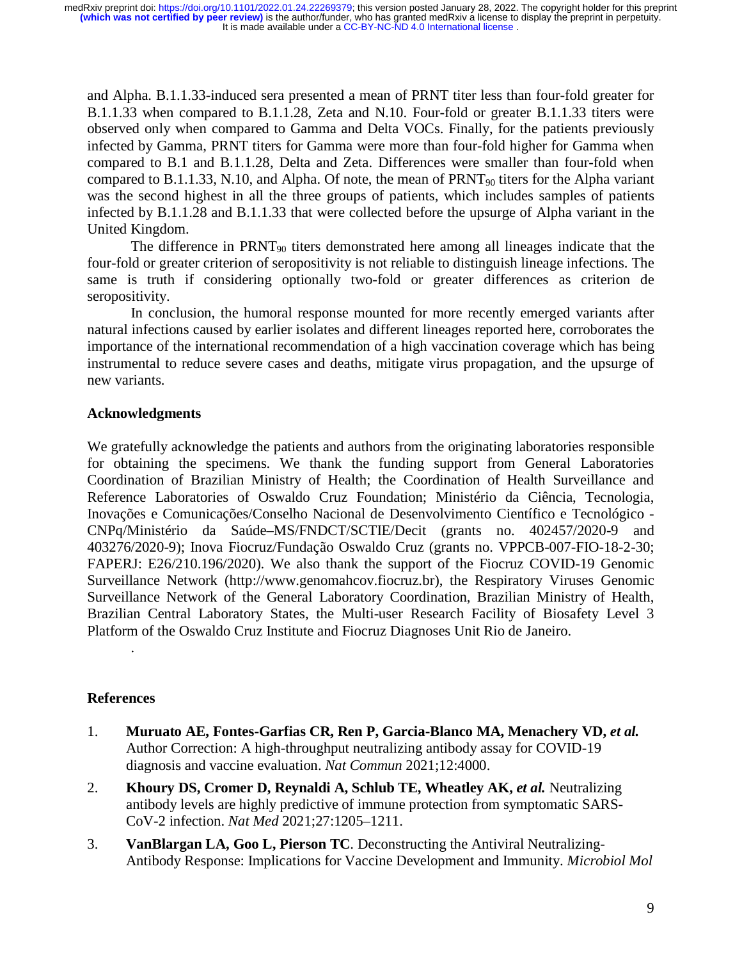and Alpha. B.1.1.33-induced sera presented a mean of PRNT titer less than four-fold greater for B.1.1.33 when compared to B.1.1.28, Zeta and N.10. Four-fold or greater B.1.1.33 titers were observed only when compared to Gamma and Delta VOCs. Finally, for the patients previously infected by Gamma, PRNT titers for Gamma were more than four-fold higher for Gamma when compared to B.1 and B.1.1.28, Delta and Zeta. Differences were smaller than four-fold when compared to B.1.1.33, N.10, and Alpha. Of note, the mean of  $PRNT_{90}$  titers for the Alpha variant was the second highest in all the three groups of patients, which includes samples of patients infected by B.1.1.28 and B.1.1.33 that were collected before the upsurge of Alpha variant in the United Kingdom.

The difference in  $PRNT_{90}$  titers demonstrated here among all lineages indicate that the four-fold or greater criterion of seropositivity is not reliable to distinguish lineage infections. The same is truth if considering optionally two-fold or greater differences as criterion de seropositivity.

In conclusion, the humoral response mounted for more recently emerged variants after natural infections caused by earlier isolates and different lineages reported here, corroborates the importance of the international recommendation of a high vaccination coverage which has being instrumental to reduce severe cases and deaths, mitigate virus propagation, and the upsurge of new variants.

#### **Acknowledgments**

We gratefully acknowledge the patients and authors from the originating laboratories responsible for obtaining the specimens. We thank the funding support from General Laboratories Coordination of Brazilian Ministry of Health; the Coordination of Health Surveillance and Reference Laboratories of Oswaldo Cruz Foundation; Ministério da Ciência, Tecnologia, Inovações e Comunicações/Conselho Nacional de Desenvolvimento Científico e Tecnológico - CNPq/Ministério da Saúde–MS/FNDCT/SCTIE/Decit (grants no. 402457/2020-9 and 403276/2020-9); Inova Fiocruz/Fundação Oswaldo Cruz (grants no. VPPCB-007-FIO-18-2-30; FAPERJ: E26/210.196/2020). We also thank the support of the Fiocruz COVID-19 Genomic Surveillance Network (http://www.genomahcov.fiocruz.br), the Respiratory Viruses Genomic Surveillance Network of the General Laboratory Coordination, Brazilian Ministry of Health, Brazilian Central Laboratory States, the Multi-user Research Facility of Biosafety Level 3 Platform of the Oswaldo Cruz Institute and Fiocruz Diagnoses Unit Rio de Janeiro.

#### **References**

.

- 1. **Muruato AE, Fontes-Garfias CR, Ren P, Garcia-Blanco MA, Menachery VD,** *et al.* Author Correction: A high-throughput neutralizing antibody assay for COVID-19 diagnosis and vaccine evaluation. *Nat Commun* 2021;12:4000.
- 2. **Khoury DS, Cromer D, Reynaldi A, Schlub TE, Wheatley AK,** *et al.* Neutralizing antibody levels are highly predictive of immune protection from symptomatic SARS-CoV-2 infection. *Nat Med* 2021;27:1205–1211.
- 3. **VanBlargan LA, Goo L, Pierson TC**. Deconstructing the Antiviral Neutralizing-Antibody Response: Implications for Vaccine Development and Immunity. *Microbiol Mol*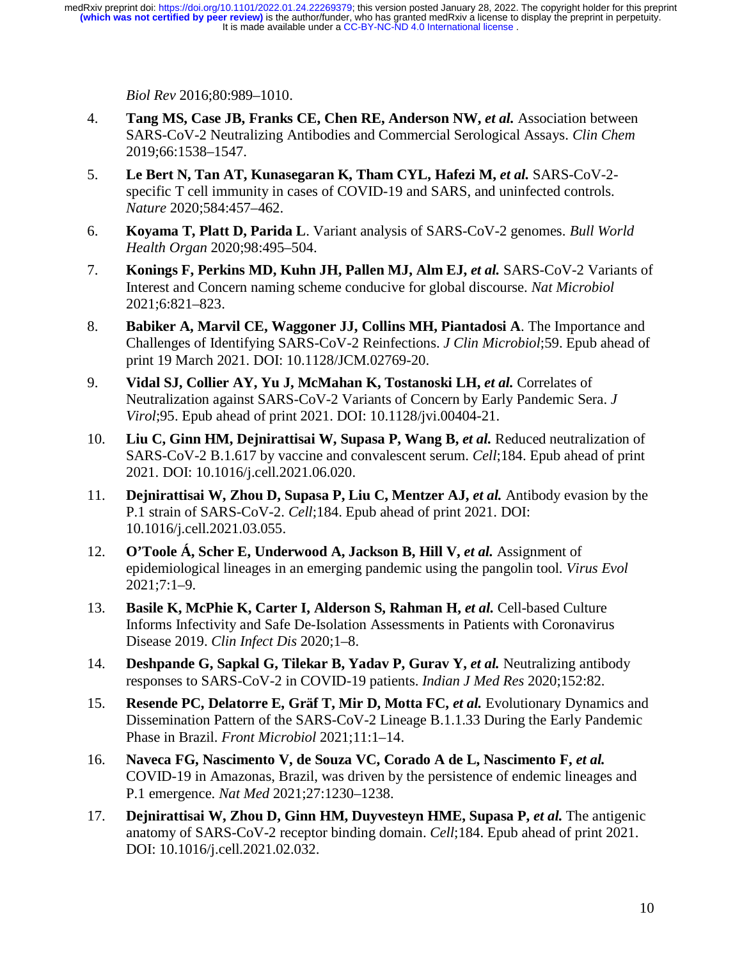*Biol Rev* 2016;80:989–1010.

- 4. **Tang MS, Case JB, Franks CE, Chen RE, Anderson NW,** *et al.* Association between SARS-CoV-2 Neutralizing Antibodies and Commercial Serological Assays. *Clin Chem* 2019;66:1538–1547.
- 5. **Le Bert N, Tan AT, Kunasegaran K, Tham CYL, Hafezi M,** *et al.* SARS-CoV-2 specific T cell immunity in cases of COVID-19 and SARS, and uninfected controls. *Nature* 2020;584:457–462.
- 6. **Koyama T, Platt D, Parida L**. Variant analysis of SARS-CoV-2 genomes. *Bull World Health Organ* 2020;98:495–504.
- 7. **Konings F, Perkins MD, Kuhn JH, Pallen MJ, Alm EJ,** *et al.* SARS-CoV-2 Variants of Interest and Concern naming scheme conducive for global discourse. *Nat Microbiol* 2021;6:821–823.
- 8. **Babiker A, Marvil CE, Waggoner JJ, Collins MH, Piantadosi A**. The Importance and Challenges of Identifying SARS-CoV-2 Reinfections. *J Clin Microbiol*;59. Epub ahead of print 19 March 2021. DOI: 10.1128/JCM.02769-20.
- 9. **Vidal SJ, Collier AY, Yu J, McMahan K, Tostanoski LH,** *et al.* Correlates of Neutralization against SARS-CoV-2 Variants of Concern by Early Pandemic Sera. *J Virol*;95. Epub ahead of print 2021. DOI: 10.1128/jvi.00404-21.
- 10. **Liu C, Ginn HM, Dejnirattisai W, Supasa P, Wang B,** *et al.* **Reduced neutralization of** SARS-CoV-2 B.1.617 by vaccine and convalescent serum. *Cell*;184. Epub ahead of print 2021. DOI: 10.1016/j.cell.2021.06.020.
- 11. **Dejnirattisai W, Zhou D, Supasa P, Liu C, Mentzer AJ,** *et al.* Antibody evasion by the P.1 strain of SARS-CoV-2. *Cell*;184. Epub ahead of print 2021. DOI: 10.1016/j.cell.2021.03.055.
- 12. **O'Toole Á, Scher E, Underwood A, Jackson B, Hill V,** *et al.* **Assignment of** epidemiological lineages in an emerging pandemic using the pangolin tool. *Virus Evol* 2021;7:1–9.
- 13. **Basile K, McPhie K, Carter I, Alderson S, Rahman H,** *et al.* **Cell-based Culture** Informs Infectivity and Safe De-Isolation Assessments in Patients with Coronavirus Disease 2019. *Clin Infect Dis* 2020;1–8.
- 14. **Deshpande G, Sapkal G, Tilekar B, Yadav P, Gurav Y,** *et al.* Neutralizing antibody responses to SARS-CoV-2 in COVID-19 patients. *Indian J Med Res* 2020;152:82.
- 15. **Resende PC, Delatorre E, Gräf T, Mir D, Motta FC,** *et al.* **Evolutionary Dynamics and** Dissemination Pattern of the SARS-CoV-2 Lineage B.1.1.33 During the Early Pandemic Phase in Brazil. *Front Microbiol* 2021;11:1–14.
- 16. Naveca FG, Nascimento V, de Souza VC, Corado A de L, Nascimento F, et al. COVID-19 in Amazonas, Brazil, was driven by the persistence of endemic lineages and P.1 emergence. *Nat Med* 2021;27:1230–1238.
- 17. **Dejnirattisai W, Zhou D, Ginn HM, Duyvesteyn HME, Supasa P,** *et al.* **The antigenic** anatomy of SARS-CoV-2 receptor binding domain. *Cell*;184. Epub ahead of print 2021. DOI: 10.1016/j.cell.2021.02.032.